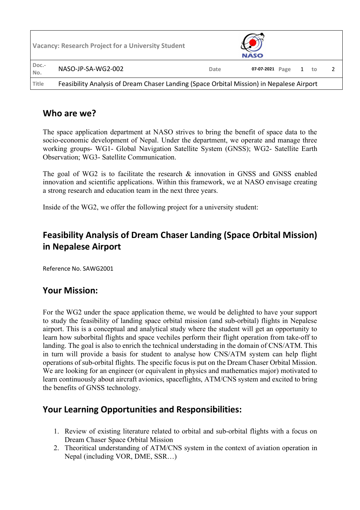|              | <b>Vacancy: Research Project for a University Student</b>                                |      | <b>NASO</b>     |  |    |  |  |
|--------------|------------------------------------------------------------------------------------------|------|-----------------|--|----|--|--|
| Doc.-<br>No. | NASO-JP-SA-WG2-002                                                                       | Date | 07-07-2021 Page |  | to |  |  |
| Title        | Feasibility Analysis of Dream Chaser Landing (Space Orbital Mission) in Nepalese Airport |      |                 |  |    |  |  |

#### **Who are we?**

The space application department at NASO strives to bring the benefit of space data to the socio-economic development of Nepal. Under the department, we operate and manage three working groups- WG1- Global Navigation Satellite System (GNSS); WG2- Satellite Earth Observation; WG3- Satellite Communication.

The goal of WG2 is to facilitate the research & innovation in GNSS and GNSS enabled innovation and scientific applications. Within this framework, we at NASO envisage creating a strong research and education team in the next three years.

Inside of the WG2, we offer the following project for a university student:

# **Feasibility Analysis of Dream Chaser Landing (Space Orbital Mission) in Nepalese Airport**

Reference No. SAWG2001

### **Your Mission:**

For the WG2 under the space application theme, we would be delighted to have your support to study the feasibility of landing space orbital mission (and sub-orbital) flights in Nepalese airport. This is a conceptual and analytical study where the student will get an opportunity to learn how suborbital flights and space vechiles perform their flight operation from take-off to landing. The goal is also to enrich the technical understading in the domain of CNS/ATM. This in turn will provide a basis for student to analyse how CNS/ATM system can help flight operations of sub-orbital flights. The specific focus is put on the Dream Chaser Orbital Mission. We are looking for an engineer (or equivalent in physics and mathematics major) motivated to learn continuously about aircraft avionics, spaceflights, ATM/CNS system and excited to bring the benefits of GNSS technology.

### **Your Learning Opportunities and Responsibilities:**

- 1. Review of existing literature related to orbital and sub-orbital flights with a focus on Dream Chaser Space Orbital Mission
- 2. Theoritical understanding of ATM/CNS system in the context of aviation operation in Nepal (including VOR, DME, SSR…)